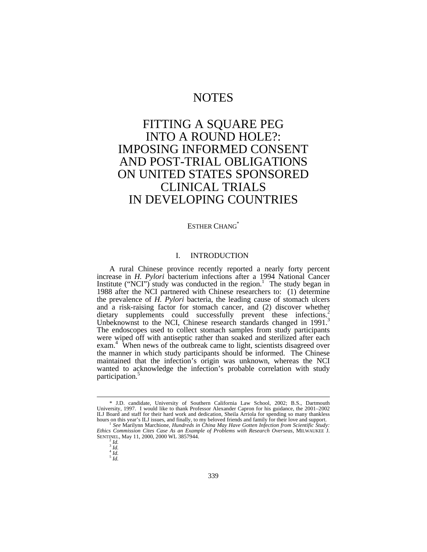## NOTES

# FITTING A SQUARE PEG INTO A ROUND HOLE?: IMPOSING INFORMED CONSENT AND POST-TRIAL OBLIGATIONS ON UNITED STATES SPONSORED CLINICAL TRIALS IN DEVELOPING COUNTRIES

### ESTHER CHANG<sup>\*</sup>

#### I. INTRODUCTION

A rural Chinese province recently reported a nearly forty percent increase in *H. Pylori* bacterium infections after a 1994 National Cancer Institute ("NCI") study was conducted in the region.<sup>1</sup> The study began in 1988 after the NCI partnered with Chinese researchers to: (1) determine the prevalence of *H. Pylori* bacteria, the leading cause of stomach ulcers and a risk-raising factor for stomach cancer, and (2) discover whether dietary supplements could successfully prevent these infections.<sup>2</sup> Unbeknownst to the NCI, Chinese research standards changed in 1991.<sup>3</sup> The endoscopes used to collect stomach samples from study participants were wiped off with antiseptic rather than soaked and sterilized after each exam.<sup>4</sup> When news of the outbreak came to light, scientists disagreed over the manner in which study participants should be informed. The Chinese maintained that the infection's origin was unknown, whereas the NCI wanted to acknowledge the infection's probable correlation with study participation.<sup>5</sup>

<sup>\*</sup> J.D. candidate, University of Southern California Law School, 2002; B.S., Dartmouth University, 1997. I would like to thank Professor Alexander Capron for his guidance, the 2001–2002 ILJ Board and staff for their hard work and dedication, Sheila Arriola for spending so many thankless hours on this year's ILJ issues, and finally, to my beloved friends and family for their love and support. 1 *See* Marilynn Marchione, *Hundreds in China May Have Gotten Infection from Scientific Study:*

*Ethics Commission Cites Case As an Example of Problems with Research Overseas*, MILWAUKEE J. SENTINEL, May 11, 2000, 2000 WL 3857944.

<sup>&</sup>lt;sup>2</sup> *Id.*<br><sup>3</sup> *Id.*<br><sup>4</sup> *Id*.

<sup>&</sup>lt;sup>4</sup> Id.<br><sup>5</sup> Id.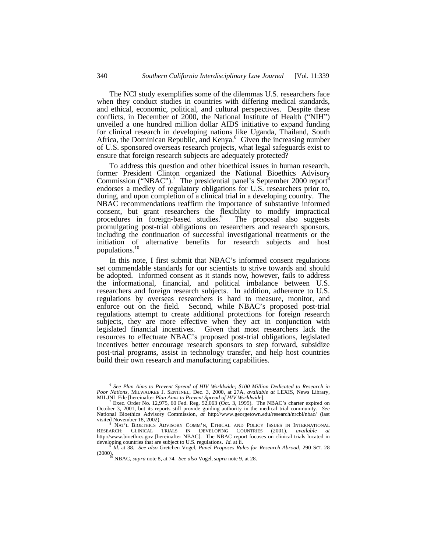The NCI study exemplifies some of the dilemmas U.S. researchers face when they conduct studies in countries with differing medical standards, and ethical, economic, political, and cultural perspectives. Despite these conflicts, in December of 2000, the National Institute of Health ("NIH") unveiled a one hundred million dollar AIDS initiative to expand funding for clinical research in developing nations like Uganda, Thailand, South Africa, the Dominican Republic, and Kenya.<sup>6</sup> Given the increasing number of U.S. sponsored overseas research projects, what legal safeguards exist to ensure that foreign research subjects are adequately protected?

To address this question and other bioethical issues in human research, former President Clinton organized the National Bioethics Advisory Commission ("NBAC").<sup>7</sup> The presidential panel's September 2000 report<sup>8</sup> endorses a medley of regulatory obligations for U.S. researchers prior to, during, and upon completion of a clinical trial in a developing country. The NBAC recommendations reaffirm the importance of substantive informed consent, but grant researchers the flexibility to modify impractical procedures in foreign-based studies.<sup>9</sup> The proposal also suggests promulgating post-trial obligations on researchers and research sponsors, including the continuation of successful investigational treatments or the initiation of alternative benefits for research subjects and host populations.<sup>10</sup>

In this note, I first submit that NBAC's informed consent regulations set commendable standards for our scientists to strive towards and should be adopted. Informed consent as it stands now, however, fails to address the informational, financial, and political imbalance between U.S. researchers and foreign research subjects. In addition, adherence to U.S. regulations by overseas researchers is hard to measure, monitor, and enforce out on the field. Second, while NBAC's proposed post-trial regulations attempt to create additional protections for foreign research subjects, they are more effective when they act in conjunction with legislated financial incentives. Given that most researchers lack the resources to effectuate NBAC's proposed post-trial obligations, legislated incentives better encourage research sponsors to step forward, subsidize post-trial programs, assist in technology transfer, and help host countries build their own research and manufacturing capabilities.

 6 *See Plan Aims to Prevent Spread of HIV Worldwide; \$100 Million Dedicated to Research in Poor Nations*, MILWAUKEE J. SENTINEL, Dec. 3, 2000, at 27A, *available at* LEXIS, News Library, MILJNL File [hereinafter *Plan Aims to Prevent Spread of HIV Worldwide*].

<sup>&</sup>lt;sup>7</sup> Exec. Order No. 12,975, 60 Fed. Reg. 52,063 (Oct. 3, 1995). The NBAC's charter expired on October 3, 2001, but its reports still provide guiding authority in the medical trial community. See National Bioethics Advisory visited November 18, 2002).

NAT'L BIOETHICS ADVISORY COMM'N, ETHICAL AND POLICY ISSUES IN INTERNATIONAL RESEARCH: CLINICAL TRIALS IN DEVELOPING COUNTRIES (2001), *available at* http://www.bioethics.gov [hereinafter NBAC]. The NBAC report focuses on clinical trials located in developing countries that are subject to U.S. regulations. *Id.* at ii.

<sup>9</sup> *Id.* at 38. *See also* Gretchen Vogel, *Panel Proposes Rules for Research Abroad*, 290 SCI. 28 (2000). <sup>10</sup> NBAC, *supra* note 8, at 74. *See also* Vogel, *supra* note 9, at 28.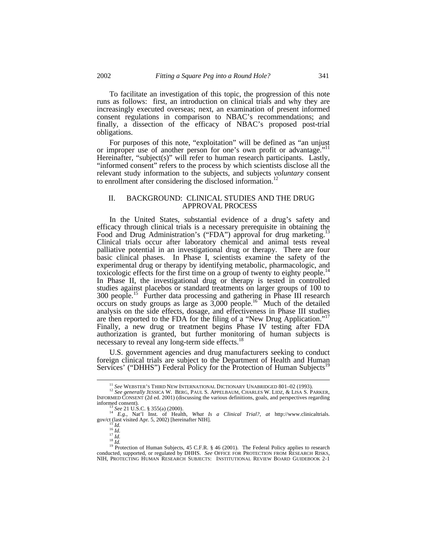To facilitate an investigation of this topic, the progression of this note runs as follows: first, an introduction on clinical trials and why they are increasingly executed overseas; next, an examination of present informed consent regulations in comparison to NBAC's recommendations; and finally, a dissection of the efficacy of NBAC's proposed post-trial obligations.

For purposes of this note, "exploitation" will be defined as "an unjust or improper use of another person for one's own profit or advantage."<sup>11</sup> Hereinafter, "subject(s)" will refer to human research participants. Lastly, "informed consent" refers to the process by which scientists disclose all the relevant study information to the subjects, and subjects *voluntary* consent to enrollment after considering the disclosed information.<sup>12</sup>

#### II. BACKGROUND: CLINICAL STUDIES AND THE DRUG APPROVAL PROCESS

In the United States, substantial evidence of a drug's safety and efficacy through clinical trials is a necessary prerequisite in obtaining the Food and Drug Administration's ("FDA") approval for drug marketing.<sup>13</sup> Clinical trials occur after laboratory chemical and animal tests reveal palliative potential in an investigational drug or therapy. There are four basic clinical phases. In Phase I, scientists examine the safety of the experimental drug or therapy by identifying metabolic, pharmacologic, and toxicologic effects for the first time on a group of twenty to eighty people.<sup>14</sup> In Phase II, the investigational drug or therapy is tested in controlled studies against placebos or standard treatments on larger groups of 100 to 300 people.<sup>15</sup> Further data processing and gathering in Phase III research occurs on study groups as large as  $3,000$  people.<sup>16</sup> Much of the detailed analysis on the side effects, dosage, and effectiveness in Phase III studies are then reported to the FDA for the filing of a "New Drug Application."<sup>17</sup> Finally, a new drug or treatment begins Phase IV testing after FDA authorization is granted, but further monitoring of human subjects is necessary to reveal any long-term side effects.<sup>18</sup>

U.S. government agencies and drug manufacturers seeking to conduct foreign clinical trials are subject to the Department of Health and Human Services' ("DHHS") Federal Policy for the Protection of Human Subjects<sup>1</sup>

<sup>11</sup> *See* WEBSTER'S THIRD NEW INTERNATIONAL DICTIONARY UNABRIDGED 801–02 (1993).

<sup>&</sup>lt;sup>12</sup> See generally JESSICA W. BERG, PAUL S. APPELBAUM, CHARLES W. LIDZ, & LISA S. PARKER, INFORMED CONSENT (2d ed. 2001) (discussing the various definitions, goals, and perspectives regarding informed consent).

<sup>13</sup> *See* 21 U.S.C. § 355(a) (2000).

<sup>14</sup> *E.g.*, Nat'l Inst. of Health, *What Is a Clinical Trial?*, *at* http://www.clinicaltrials. gov/ct (last visited Apr. 5, 2002) [hereinafter NIH].

<sup>15</sup> *Id.* <sup>16</sup> *Id.*

<sup>17</sup> *Id.* <sup>18</sup> *Id.*

<sup>&</sup>lt;sup>19</sup> Protection of Human Subjects, 45 C.F.R. § 46 (2001). The Federal Policy applies to research conducted, supported, or regulated by DHHS. *See* OFFICE FOR PROTECTION FROM RESEARCH RISKS, NIH, PROTECTING HUMAN RESEARCH SUBJECTS: INSTITUTIONAL REVIEW BOARD GUIDEBOOK 2-1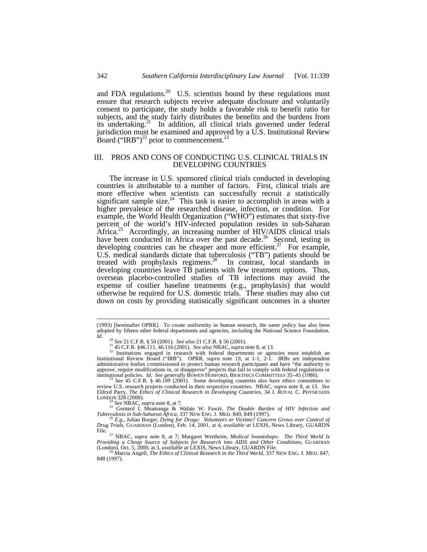and FDA regulations.<sup>20</sup> U.S. scientists bound by these regulations must ensure that research subjects receive adequate disclosure and voluntarily consent to participate, the study holds a favorable risk to benefit ratio for subjects, and the study fairly distributes the benefits and the burdens from its undertaking.<sup>21</sup> In addition, all clinical trials governed under federal jurisdiction must be examined and approved by a U.S. Institutional Review Board ("IRB")<sup>22</sup> prior to commencement.<sup>2</sup>

#### III. PROS AND CONS OF CONDUCTING U.S. CLINICAL TRIALS IN DEVELOPING COUNTRIES

The increase in U.S. sponsored clinical trials conducted in developing countries is attributable to a number of factors. First, clinical trials are more effective when scientists can successfully recruit a statistically significant sample size.<sup>24</sup> This task is easier to accomplish in areas with a higher prevalence of the researched disease, infection, or condition. For example, the World Health Organization ("WHO") estimates that sixty-five percent of the world's HIV-infected population resides in sub-Saharan Africa.<sup>25</sup> Accordingly, an increasing number of HIV/AIDS clinical trials have been conducted in Africa over the past decade.<sup>26</sup> Second, testing in developing countries can be cheaper and more efficient.<sup>27</sup> For example, U.S. medical standards dictate that tuberculosis ("TB") patients should be treated with prophylaxis regimens.<sup>28</sup> In contrast, local standards in developing countries leave TB patients with few treatment options. Thus, overseas placebo-controlled studies of TB infections may avoid the expense of costlier baseline treatments (e.g., prophylaxis) that would otherwise be required for U.S. domestic trials. These studies may also cut down on costs by providing statistically significant outcomes in a shorter

<sup>24</sup> *See* NBAC, *supra* note 8, at 7. <sup>25</sup> Gernard I. Msamanga & Wafaie W. Fawzi, *The Double Burden of HIV Infection and Tuberculosis in Sub-Saharan Africa*, 337 NEW ENG. J. MED. 849, 849 (1997).

<sup>26</sup> *E.g.*, Julian Borger, *Dying for Drugs: Volunteers or Victims? Concern Grows over Control of Drug Trials*, GUARDIAN (London), Feb. 14, 2001, at 4, *available at* LEXIS, News Library, GUARDN

File.<br><sup>27</sup> NBAC, *supra* note 8, at 7; Margaret Wertheim, *Medical Sweatshops: The Third World Is*<br>*Providing a Cheap Source of Subjects for Research into AIDS and Other Conditions*, GUARDIAN<br>(London), Oct. 5, 2000, at 3, 28 Marcia Angell, *The Ethics of Clinical Research into AIDS and Other Conditions*, GUARDIAN (London), Oct. 5, 2000, at 3, *available at LEXIS*, News Library, GUARDN File.<br><sup>28</sup> Marcia Angell, *The Ethics of Clinical Resear* 

848 (1997).

<sup>(1993) [</sup>hereinafter OPRR]. To create uniformity in human research, the same policy has also been adopted by fifteen other federal departments and agencies, including the National Science Foundation. *Id.*

<sup>20</sup> *See* 21 C.F.R. § 50 (2001). *See also* 21 C.F.R. § 56 (2001).

<sup>21</sup> 45 C.F.R. §46.111, 46.116 (2001). *See also* NBAC, *supra* note 8, at 13.

<sup>&</sup>lt;sup>22</sup> Institutions engaged in research with federal departments or agencies must establish an Institutional Review Board ("IRB"). OPRR, *supra* note 19, at 1-1, 2-1. IRBs are independent administrative bodies commissioned to protect human research participants and have "the authority to approve, require modifications in, or disapprove" projects that fail to comply with federal regulations or institutional policies. *Id. See generally* BOWEN HOSFORD, BIOETHICS COMMITTEES 35–45 (1986).

<sup>23</sup> *See* 45 C.F.R. § 46.109 (2001). Some developing countries also have ethics committees to review U.S. research projects conducted in their respective countries. NBAC, *supra* note 8, at 13. *See* Eldryd Parry, *The Ethics of Clinical Research in Developing Countries,* 34 J. ROYAL C. PHYSICIANS LONDON 328 (2000).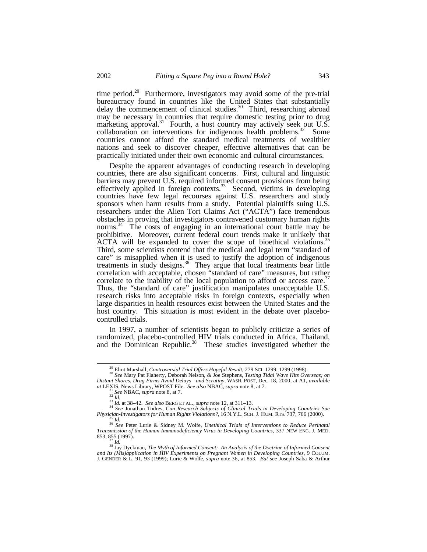time period.<sup>29</sup> Furthermore, investigators may avoid some of the pre-trial bureaucracy found in countries like the United States that substantially delay the commencement of clinical studies. $30$  Third, researching abroad may be necessary in countries that require domestic testing prior to drug marketing approval.<sup>31</sup> Fourth, a host country may actively seek out U.S. collaboration on interventions for indigenous health problems. $32$  Some countries cannot afford the standard medical treatments of wealthier nations and seek to discover cheaper, effective alternatives that can be practically initiated under their own economic and cultural circumstances.

Despite the apparent advantages of conducting research in developing countries, there are also significant concerns. First, cultural and linguistic barriers may prevent U.S. required informed consent provisions from being effectively applied in foreign contexts. $33$  Second, victims in developing countries have few legal recourses against U.S. researchers and study sponsors when harm results from a study. Potential plaintiffs suing U.S. researchers under the Alien Tort Claims Act ("ACTA") face tremendous obstacles in proving that investigators contravened customary human rights norms.<sup>34</sup> The costs of engaging in an international court battle may be prohibitive. Moreover, current federal court trends make it unlikely that ACTA will be expanded to cover the scope of bioethical violations. Third, some scientists contend that the medical and legal term "standard of care" is misapplied when it is used to justify the adoption of indigenous treatments in study designs.<sup>36</sup> They argue that local treatments bear little correlation with acceptable, chosen "standard of care" measures, but rather correlate to the inability of the local population to afford or access care.<sup>37</sup> Thus, the "standard of care" justification manipulates unacceptable U.S. research risks into acceptable risks in foreign contexts, especially when large disparities in health resources exist between the United States and the host country. This situation is most evident in the debate over placebocontrolled trials.

In 1997, a number of scientists began to publicly criticize a series of randomized, placebo-controlled HIV trials conducted in Africa, Thailand, and the Dominican Republic.<sup>38</sup> These studies investigated whether the

<sup>29</sup> Eliot Marshall, *Controversial Trial Offers Hopeful Result*, 279 SCI. 1299, 1299 (1998). <sup>30</sup> *See* Mary Pat Flaherty, Deborah Nelson, & Joe Stephens, *Testing Tidal Wave Hits Overseas; on*

*Distant Shores, Drug Firms Avoid Delays—and Scrutiny*, WASH. POST, Dec. 18, 2000, at A1, *available at* LEXIS, News Library, WPOST File. *See also* NBAC, *supra* note 8, at 7.

<sup>31</sup> *See* NBAC, *supra* note 8, at 7.

<sup>32</sup> *Id.*

<sup>33</sup> *Id.* at 38–42*. See also* BERG ET AL., *supra* note 12, at 311–13. <sup>34</sup> *See* Jonathan Todres, *Can Research Subjects of Clinical Trials in Developing Countries Sue Physician-Investigators for Human Rights Violations?*, 16 N.Y.L. SCH. J. HUM. RTS. 737, 766 (2000).

<sup>35</sup> *Id.* <sup>36</sup> *See* Peter Lurie & Sidney M. Wolfe, *Unethical Trials of Interventions to Reduce Perinatal Transmission of the Human Immunodeficiency Virus in Developing Countries*, 337 NEW ENG. J. MED. 853, 855 (1997).

*Id.* 

<sup>38</sup> Jay Dyckman, *The Myth of Informed Consent: An Analysis of the Doctrine of Informed Consent and Its (Mis)application in HIV Experiments on Pregnant Women in Developing Countries*, 9 COLUM. J. GENDER & L. 91, 93 (1999); Lurie & Wolfe, *supra* note 36, at 853. *But see* Joseph Saba & Arthur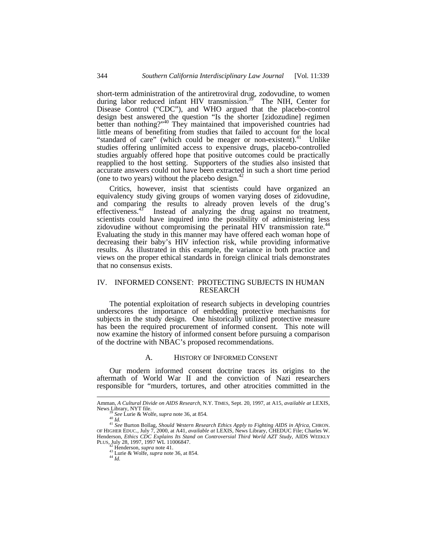short-term administration of the antiretroviral drug, zodovudine, to women<br>during labor reduced infant HIV transmission.<sup>39</sup> The NIH, Center for during labor reduced infant HIV transmission.<sup>39</sup> Disease Control ("CDC"), and WHO argued that the placebo-control design best answered the question "Is the shorter [zidozudine] regimen better than nothing?"<sup>40</sup> They maintained that impoverished countries had little means of benefiting from studies that failed to account for the local "standard of care" (which could be meager or non-existent). $41$  Unlike studies offering unlimited access to expensive drugs, placebo-controlled studies arguably offered hope that positive outcomes could be practically reapplied to the host setting. Supporters of the studies also insisted that accurate answers could not have been extracted in such a short time period (one to two years) without the placebo design. $4$ 

Critics, however, insist that scientists could have organized an equivalency study giving groups of women varying doses of zidovudine, and comparing the results to already proven levels of the drug's effectiveness.<sup>43</sup> Instead of analyzing the drug against no treatment, Instead of analyzing the drug against no treatment, scientists could have inquired into the possibility of administering less zidovudine without compromising the perinatal HIV transmission rate.<sup>44</sup> Evaluating the study in this manner may have offered each woman hope of decreasing their baby's HIV infection risk, while providing informative results. As illustrated in this example, the variance in both practice and views on the proper ethical standards in foreign clinical trials demonstrates that no consensus exists.

#### IV. INFORMED CONSENT: PROTECTING SUBJECTS IN HUMAN RESEARCH

The potential exploitation of research subjects in developing countries underscores the importance of embedding protective mechanisms for subjects in the study design. One historically utilized protective measure has been the required procurement of informed consent. This note will now examine the history of informed consent before pursuing a comparison of the doctrine with NBAC's proposed recommendations.

#### A. HISTORY OF INFORMED CONSENT

Our modern informed consent doctrine traces its origins to the aftermath of World War II and the conviction of Nazi researchers responsible for "murders, tortures, and other atrocities committed in the

Amman, *A Cultural Divide on AIDS Research*, N.Y. TIMES, Sept. 20, 1997, at A15, *available at* LEXIS, News Library, NYT file.

<sup>39</sup> *See* Lurie & Wolfe, *supra* note 36, at 854*.*

<sup>&</sup>lt;sup>40</sup> *Id.*<br><sup>41</sup> See Burton Bollag, Should Western Research Ethics Apply to Fighting AIDS in Africa, CHRON.<br>OF HIGHER EDUC., July 7, 2000, at A41, available at LEXIS, News Library, CHEDUC File; Charles W. Henderson, *Ethics CDC Explains Its Stand on Controversial Third World AZT Study*, AIDS WEEKLY PLUS, July 28, 1997, 1997 WL 11006847. <sup>42</sup> Henderson, *supra* note 41.

<sup>43</sup> Lurie & Wolfe, *supra* note 36, at 854.  $44$   $\frac{1}{1}$ .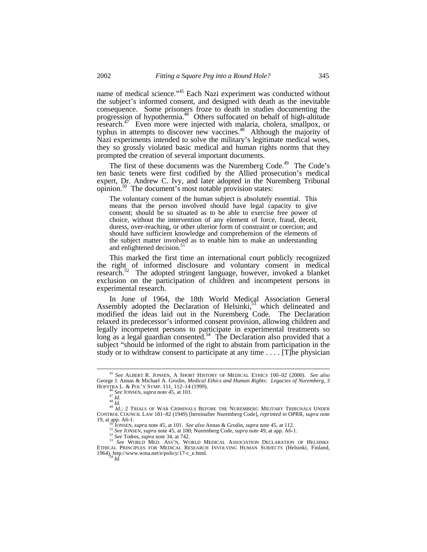name of medical science."<sup>45</sup> Each Nazi experiment was conducted without the subject's informed consent, and designed with death as the inevitable consequence. Some prisoners froze to death in studies documenting the progression of hypothermia.<sup>46</sup> Others suffocated on behalf of high-altitude research.<sup>47</sup> Even more were injected with malaria, cholera, smallpox, or typhus in attempts to discover new vaccines.<sup>48</sup> Although the majority of Nazi experiments intended to solve the military's legitimate medical woes, they so grossly violated basic medical and human rights norms that they prompted the creation of several important documents.

The first of these documents was the Nuremberg Code.<sup>49</sup> The Code's ten basic tenets were first codified by the Allied prosecution's medical expert, Dr. Andrew C. Ivy, and later adopted in the Nuremberg Tribunal opinion.<sup>50</sup> The document's most notable provision states:

The voluntary consent of the human subject is absolutely essential. This means that the person involved should have legal capacity to give consent; should be so situated as to be able to exercise free power of choice, without the intervention of any element of force, fraud, deceit, duress, over-reaching, or other ulterior form of constraint or coercion; and should have sufficient knowledge and comprehension of the elements of the subject matter involved as to enable him to make an understanding and enlightened decision.<sup>5</sup>

This marked the first time an international court publicly recognized the right of informed disclosure and voluntary consent in medical research.<sup>52</sup> The adopted stringent language, however, invoked a blanket exclusion on the participation of children and incompetent persons in experimental research.

In June of 1964, the 18th World Medical Association General Assembly adopted the Declaration of Helsinki, $53$  which delineated and modified the ideas laid out in the Nuremberg Code. The Declaration relaxed its predecessor's informed consent provision, allowing children and legally incompetent persons to participate in experimental treatments so long as a legal guardian consented.<sup>54</sup> The Declaration also provided that a subject "should be informed of the right to abstain from participation in the study or to withdraw consent to participate at any time . . . . [T]he physician

 $\overline{a}$ <sup>45</sup> *See* ALBERT R. JONSEN, A SHORT HISTORY OF MEDICAL ETHICS 100–02 (2000). *See also* George J. Annas & Michael A. Grodin, *Medical Ethics and Human Rights: Legacies of Nuremberg*, 3 HOFSTRA L. & POL'Y SYMP. 111, 112–14 (1999).

<sup>46</sup> *See* JONSEN, *supra* note 45, at 101.

<sup>47</sup> *Id.*

<sup>48</sup> *Id.* <sup>49</sup> *Id.*; 2 TRIALS OF WAR CRIMINALS BEFORE THE NUREMBERG MILITARY TRIBUNALS UNDER CONTROL COUNCIL LAW 181–82 (1949) [hereinafter Nuremberg Code], *reprinted in* OPRR, *supra* note 19, at app. A6-1.

<sup>50</sup> JONSEN, *supra* note 45, at 101. *See also* Annas & Grodin, *supra* note 45, at 112.

<sup>51</sup> *See* JONSEN, *supra* note 45, at 100; Nuremberg Code, *supra* note 49, at app. A6-1.

<sup>&</sup>lt;sup>52</sup> See Todres, *supra* note 34, at 742.<br>
<sup>53</sup> See WORLD MED. ASS'N, WORLD MEDICAL ASSOCIATION DECLARATION OF HELSINKI:<br>
ETHICAL PRINCIPLES FOR MEDICAL RESEARCH INVOLVING HUMAN SUBJECTS (Helsinki, Finland, 1964), http://www.wma.net/e/policy/17-c\_e.html. <sup>54</sup> *Id.*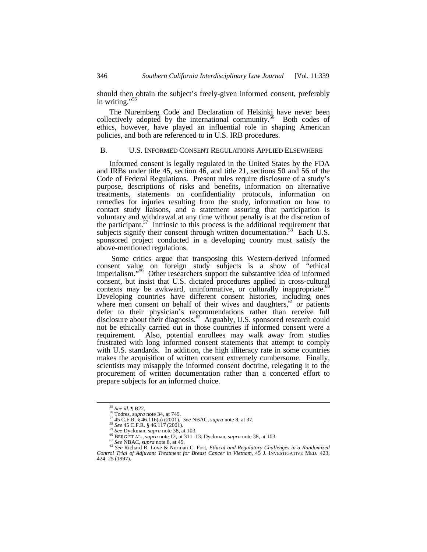should then obtain the subject's freely-given informed consent, preferably in writing."<sup>55</sup>

The Nuremberg Code and Declaration of Helsinki have never been collectively adopted by the international community.<sup>56</sup> Both codes of ethics, however, have played an influential role in shaping American policies, and both are referenced to in U.S. IRB procedures.

#### B. U.S. INFORMED CONSENT REGULATIONS APPLIED ELSEWHERE

Informed consent is legally regulated in the United States by the FDA and IRBs under title 45, section 46, and title 21, sections 50 and 56 of the Code of Federal Regulations. Present rules require disclosure of a study's purpose, descriptions of risks and benefits, information on alternative treatments, statements on confidentiality protocols, information on remedies for injuries resulting from the study, information on how to contact study liaisons, and a statement assuring that participation is voluntary and withdrawal at any time without penalty is at the discretion of the participant.<sup>57</sup> Intrinsic to this process is the additional requirement that subjects signify their consent through written documentation.<sup>58</sup> Each U.S. sponsored project conducted in a developing country must satisfy the above-mentioned regulations.

 Some critics argue that transposing this Western-derived informed consent value on foreign study subjects is a show of "ethical imperialism."<sup>59</sup> Other researchers support the substantive idea of informed consent, but insist that U.S. dictated procedures applied in cross-cultural contexts may be awkward, uninformative, or culturally inappropriate. $60$ Developing countries have different consent histories, including ones where men consent on behalf of their wives and daughters,  $61$  or patients defer to their physician's recommendations rather than receive full disclosure about their diagnosis.<sup>62</sup> Arguably, U.S. sponsored research could not be ethically carried out in those countries if informed consent were a requirement. Also, potential enrollees may walk away from studies frustrated with long informed consent statements that attempt to comply with U.S. standards. In addition, the high illiteracy rate in some countries makes the acquisition of written consent extremely cumbersome. Finally, scientists may misapply the informed consent doctrine, relegating it to the procurement of written documentation rather than a concerted effort to prepare subjects for an informed choice.

<sup>55</sup> *See id.* ¶ B22.

<sup>56</sup> Todres, *supra* note 34, at 749.

<sup>57</sup> 45 C.F.R. § 46.116(a) (2001). *See* NBAC, *supra* note 8, at 37. <sup>58</sup> *See* 45 C.F.R. § 46.117 (2001). <sup>59</sup> *See* Dyckman, *supra* note 38, at 103.

<sup>60</sup> BERG ET AL., *supra* note 12, at 311–13; Dyckman, *supra* note 38, at 103. <sup>61</sup> *See* NBAC, *supra* note 8, at 45.

<sup>62</sup> *See* Richard R. Love & Norman C. Fost, *Ethical and Regulatory Challenges in a Randomized Control Trial of Adjuvant Treatment for Breast Cancer in Vietnam*, 45 J. INVESTIGATIVE MED. 423, 424–25 (1997).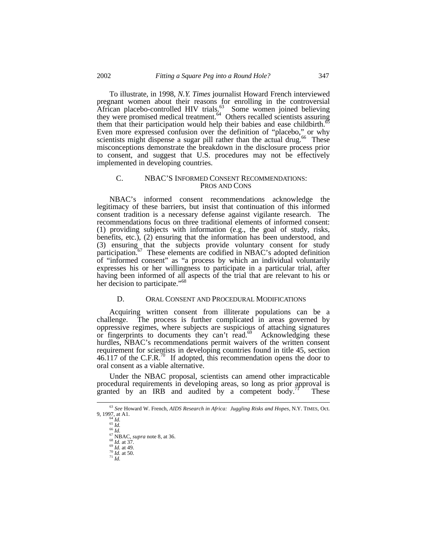To illustrate, in 1998, *N.Y. Times* journalist Howard French interviewed pregnant women about their reasons for enrolling in the controversial African placebo-controlled HIV trials.<sup>63</sup> Some women joined believing they were promised medical treatment.<sup>64</sup> Others recalled scientists assuring them that their participation would help their babies and ease childbirth.<sup>6</sup> Even more expressed confusion over the definition of "placebo," or why scientists might dispense a sugar pill rather than the actual drug.<sup>66</sup> These misconceptions demonstrate the breakdown in the disclosure process prior to consent, and suggest that U.S. procedures may not be effectively implemented in developing countries.

#### C. NBAC'S INFORMED CONSENT RECOMMENDATIONS: PROS AND CONS

NBAC's informed consent recommendations acknowledge the legitimacy of these barriers, but insist that continuation of this informed consent tradition is a necessary defense against vigilante research. The recommendations focus on three traditional elements of informed consent: (1) providing subjects with information (e.g., the goal of study, risks, benefits, etc.), (2) ensuring that the information has been understood, and (3) ensuring that the subjects provide voluntary consent for study participation.<sup>67</sup> These elements are codified in NBAC's adopted definition of "informed consent" as "a process by which an individual voluntarily expresses his or her willingness to participate in a particular trial, after having been informed of all aspects of the trial that are relevant to his or her decision to participate."<sup>68</sup>

#### D. ORAL CONSENT AND PROCEDURAL MODIFICATIONS

Acquiring written consent from illiterate populations can be a challenge. The process is further complicated in areas governed by oppressive regimes, where subjects are suspicious of attaching signatures or fingerprints to documents they can't read.<sup>69</sup> Acknowledging these hurdles, NBAC's recommendations permit waivers of the written consent requirement for scientists in developing countries found in title 45, section  $46.117$  of the C.F.R.<sup>70</sup> If adopted, this recommendation opens the door to oral consent as a viable alternative.

Under the NBAC proposal, scientists can amend other impracticable procedural requirements in developing areas, so long as prior approval is granted by an IRB and audited by a competent body. $\frac{1}{1}$  These

<sup>63</sup> *See* Howard W. French, *AIDS Research in Africa: Juggling Risks and Hopes*, N.Y. TIMES, Oct. 9, 1997, at A1.

<sup>64</sup> *Id.* <sup>65</sup> *Id.* <sup>66</sup> *Id.*

<sup>67</sup> NBAC, *supra* note 8, at 36. <sup>68</sup> *Id.* at 37.

<sup>69</sup> *Id.* at 49. <sup>70</sup> *Id.* at 50.

<sup>71</sup> *Id.*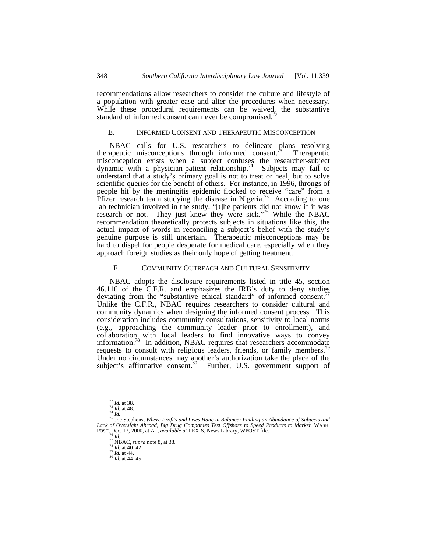recommendations allow researchers to consider the culture and lifestyle of a population with greater ease and alter the procedures when necessary. While these procedural requirements can be waived, the substantive standard of informed consent can never be compromised.

#### E. INFORMED CONSENT AND THERAPEUTIC MISCONCEPTION

NBAC calls for U.S. researchers to delineate plans resolving apeutic misconceptions through informed consent.<sup>73</sup> Therapeutic therapeutic misconceptions through informed consent.<sup>73</sup> misconception exists when a subject confuses the researcher-subject dynamic with a physician-patient relationship.<sup>74</sup> Subjects may fail to understand that a study's primary goal is not to treat or heal, but to solve scientific queries for the benefit of others. For instance, in 1996, throngs of people hit by the meningitis epidemic flocked to receive "care" from a Pfizer research team studying the disease in Nigeria.<sup>75</sup> According to one lab technician involved in the study, "[t]he patients did not know if it was research or not. They just knew they were sick."<sup>76</sup> While the NBAC recommendation theoretically protects subjects in situations like this, the actual impact of words in reconciling a subject's belief with the study's genuine purpose is still uncertain. Therapeutic misconceptions may be hard to dispel for people desperate for medical care, especially when they approach foreign studies as their only hope of getting treatment.

#### F. COMMUNITY OUTREACH AND CULTURAL SENSITIVITY

NBAC adopts the disclosure requirements listed in title 45, section 46.116 of the C.F.R. and emphasizes the IRB's duty to deny studies deviating from the "substantive ethical standard" of informed consent. Unlike the C.F.R., NBAC requires researchers to consider cultural and community dynamics when designing the informed consent process. This consideration includes community consultations, sensitivity to local norms (e.g., approaching the community leader prior to enrollment), and collaboration with local leaders to find innovative ways to convey information.<sup>78</sup> In addition, NBAC requires that researchers accommodate requests to consult with religious leaders, friends, or family members.<sup>19</sup> Under no circumstances may another's authorization take the place of the subject's affirmative consent.<sup>80</sup> Further, U.S. government support of

<sup>72</sup> *Id.* at 38. <sup>73</sup> *Id.* at 48. <sup>74</sup> *Id.*

<sup>75</sup> Joe Stephens, *Where Profits and Lives Hang in Balance; Finding an Abundance of Subjects and Lack of Oversight Abroad, Big Drug Companies Test Offshore to Speed Products to Market*, WASH. POST, Dec. 17, 2000, at A1, *available at* LEXIS, News Library, WPOST file.

<sup>76</sup> *Id.* <sup>77</sup> NBAC, *supra* note 8, at 38.

 $78 \overline{1d}$ . at 40–42.

<sup>79</sup> *Id.* at 44. <sup>80</sup> *Id.* at 44–45.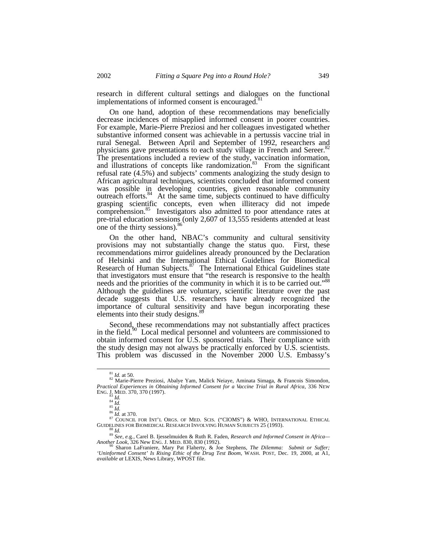research in different cultural settings and dialogues on the functional implementations of informed consent is encouraged.<sup>81</sup>

On one hand, adoption of these recommendations may beneficially decrease incidences of misapplied informed consent in poorer countries. For example, Marie-Pierre Preziosi and her colleagues investigated whether substantive informed consent was achievable in a pertussis vaccine trial in rural Senegal. Between April and September of 1992, researchers and physicians gave presentations to each study village in French and Sereer.<sup>82</sup> The presentations included a review of the study, vaccination information, and illustrations of concepts like randomization.<sup>83</sup> From the significant refusal rate (4.5%) and subjects' comments analogizing the study design to African agricultural techniques, scientists concluded that informed consent was possible in developing countries, given reasonable community outreach efforts.<sup>84</sup> At the same time, subjects continued to have difficulty grasping scientific concepts, even when illiteracy did not impede comprehension.<sup>85</sup> Investigators also admitted to poor attendance rates at pre-trial education sessions (only 2,607 of 13,555 residents attended at least one of the thirty sessions).<sup>86</sup>

On the other hand, NBAC's community and cultural sensitivity provisions may not substantially change the status quo. First, these recommendations mirror guidelines already pronounced by the Declaration of Helsinki and the International Ethical Guidelines for Biomedical Research of Human Subjects.<sup>87</sup> The International Ethical Guidelines state that investigators must ensure that "the research is responsive to the health needs and the priorities of the community in which it is to be carried out.<sup>788</sup> Although the guidelines are voluntary, scientific literature over the past decade suggests that U.S. researchers have already recognized the importance of cultural sensitivity and have begun incorporating these elements into their study designs.<sup>8</sup>

Second, these recommendations may not substantially affect practices in the field.<sup>90</sup> Local medical personnel and volunteers are commissioned to obtain informed consent for U.S. sponsored trials. Their compliance with the study design may not always be practically enforced by U.S. scientists. This problem was discussed in the November 2000 U.S. Embassy's

 $\overline{a}$ 

<sup>87</sup> COUNCIL FOR INT'L ORGS. OF MED. SCIS. ("CIOMS") & WHO, INTERNATIONAL ETHICAL GUIDELINES FOR BIOMEDICAL RESEARCH INVOLVING HUMAN SUBJECTS 25 (1993). <sup>88</sup> *Id.*

*'Uninformed Consent' Is Rising Ethic of the Drug Test Boom*, WASH. POST, Dec. 19, 2000, at A1, *available at* LEXIS, News Library, WPOST file.

<sup>81</sup> *Id.* at 50.

<sup>82</sup> Marie-Pierre Preziosi, Abalye Yam, Malick Neiaye, Aminata Simaga, & Francois Simondon, *Practical Experiences in Obtaining Informed Consent for a Vaccine Trial in Rural Africa*, 336 NEW ENG. J. MED. 370, 370 (1997). <sup>83</sup> *Id.*

<sup>84</sup> *Id.* <sup>85</sup> *Id.*

<sup>86</sup> *Id.* at 370.

<sup>&</sup>lt;sup>89</sup> See, e.g., Carel B. Ijesselmuiden & Ruth R. Faden, *Research and Informed Consent in Africa—Another Look*, 326 New ENG. J. MED. 830, 830 (1992).<br><sup>90</sup> Sharon LaFraniere, Mary Pat Flaherty, & Joe Stephens, *The Dilemma*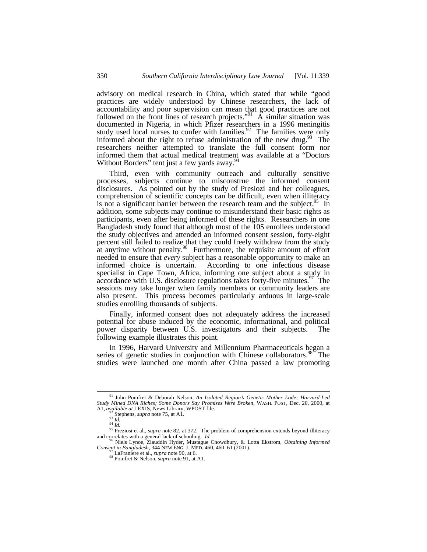advisory on medical research in China, which stated that while "good practices are widely understood by Chinese researchers, the lack of accountability and poor supervision can mean that good practices are not followed on the front lines of research projects."<sup>91</sup>  $\tilde{A}$  similar situation was documented in Nigeria, in which Pfizer researchers in a 1996 meningitis study used local nurses to confer with families.<sup>92</sup> The families were only informed about the right to refuse administration of the new drug.<sup>93</sup> The researchers neither attempted to translate the full consent form nor informed them that actual medical treatment was available at a "Doctors Without Borders" tent just a few yards away.<sup>9</sup>

Third, even with community outreach and culturally sensitive processes, subjects continue to misconstrue the informed consent disclosures. As pointed out by the study of Presiozi and her colleagues, comprehension of scientific concepts can be difficult, even when illiteracy is not a significant barrier between the research team and the subject.<sup>95</sup> In addition, some subjects may continue to misunderstand their basic rights as participants, even after being informed of these rights. Researchers in one Bangladesh study found that although most of the 105 enrollees understood the study objectives and attended an informed consent session, forty-eight percent still failed to realize that they could freely withdraw from the study at anytime without penalty.<sup>96</sup> Furthermore, the requisite amount of effort needed to ensure that *every* subject has a reasonable opportunity to make an informed choice is uncertain. According to one infectious disease According to one infectious disease specialist in Cape Town, Africa, informing one subject about a study in accordance with U.S. disclosure regulations takes forty-five minutes.<sup>97</sup> The sessions may take longer when family members or community leaders are also present. This process becomes particularly arduous in large-scale studies enrolling thousands of subjects.

Finally, informed consent does not adequately address the increased potential for abuse induced by the economic, informational, and political power disparity between U.S. investigators and their subjects. The following example illustrates this point.

In 1996, Harvard University and Millennium Pharmaceuticals began a series of genetic studies in conjunction with Chinese collaborators.<sup>98</sup> The studies were launched one month after China passed a law promoting

<sup>91</sup> John Pomfret & Deborah Nelson, *An Isolated Region's Genetic Mother Lode; Harvard-Led Study Mined DNA Riches; Some Donors Say Promises Were Broken*, WASH. POST, Dec. 20, 2000, at A1, *available at* LEXIS, News Library, WPOST file.

<sup>92</sup> Stephens, *supra* note 75, at A1.

<sup>93</sup> *Id.*<br>94 *Id.*<br>95 Preziosi et al., *supra* note 82, at 372. The problem of comprehension extends beyond illiteracy and correlates with a general lack of schooling. *Id.*

<sup>96</sup> Niels Lynoe, Ziauddin Hyder, Mustague Chowdhury, & Lotta Ekstrom, *Obtaining Informed Consent in Bangladesh*, 344 NEW ENG. J. MED. 460, 460–61 (2001).

<sup>97</sup> LaFraniere et al., *supra* note 90, at 6. <sup>98</sup> Pomfret & Nelson, *supra* note 91, at A1.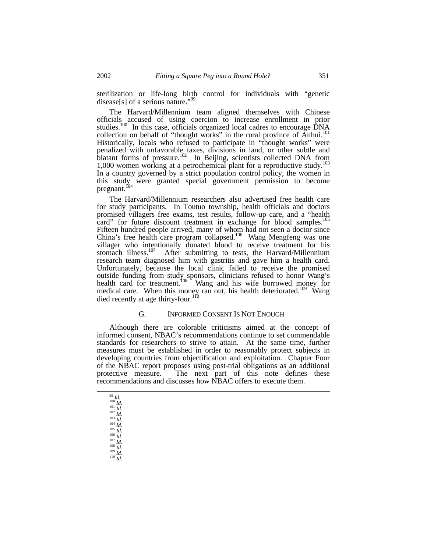sterilization or life-long birth control for individuals with "genetic disease[s] of a serious nature."<sup>99</sup>

The Harvard/Millennium team aligned themselves with Chinese officials accused of using coercion to increase enrollment in prior studies.<sup>100</sup> In this case, officials organized local cadres to encourage DNA collection on behalf of "thought works" in the rural province of Anhui.<sup>101</sup> Historically, locals who refused to participate in "thought works" were penalized with unfavorable taxes, divisions in land, or other subtle and blatant forms of pressure.<sup>102</sup> In Beijing, scientists collected DNA from 1,000 women working at a petrochemical plant for a reproductive study.<sup>103</sup> In a country governed by a strict population control policy, the women in this study were granted special government permission to become pregnant. <sup>f04</sup>

The Harvard/Millennium researchers also advertised free health care for study participants. In Toutuo township, health officials and doctors promised villagers free exams, test results, follow-up care, and a "health card" for future discount treatment in exchange for blood samples.<sup>105</sup> Fifteen hundred people arrived, many of whom had not seen a doctor since China's free health care program collapsed.<sup>106</sup> Wang Mengfeng was one villager who intentionally donated blood to receive treatment for his stomach illness.<sup>107</sup> After submitting to tests, the Harvard/Millennium research team diagnosed him with gastritis and gave him a health card. Unfortunately, because the local clinic failed to receive the promised outside funding from study sponsors, clinicians refused to honor Wang's health card for treatment.<sup>108</sup> Wang and his wife borrowed money for medical care. When this money ran out, his health deteriorated.<sup>109</sup> Wang died recently at age thirty-four.<sup>11</sup>

#### G. INFORMED CONSENT IS NOT ENOUGH

Although there are colorable criticisms aimed at the concept of informed consent, NBAC's recommendations continue to set commendable standards for researchers to strive to attain. At the same time, further measures must be established in order to reasonably protect subjects in developing countries from objectification and exploitation. Chapter Four of the NBAC report proposes using post-trial obligations as an additional protective measure. The next part of this note defines these The next part of this note defines these recommendations and discusses how NBAC offers to execute them.

<sup>99</sup> *Id. Id.* <sup>101</sup> *Id.* <sup>102</sup> *Id. Id.* <sup>104</sup> *Id.* <sup>105</sup> *Id. Id.* <sup>107</sup> *Id.* <sup>108</sup> *Id. Id.* <sup>110</sup> *Id.*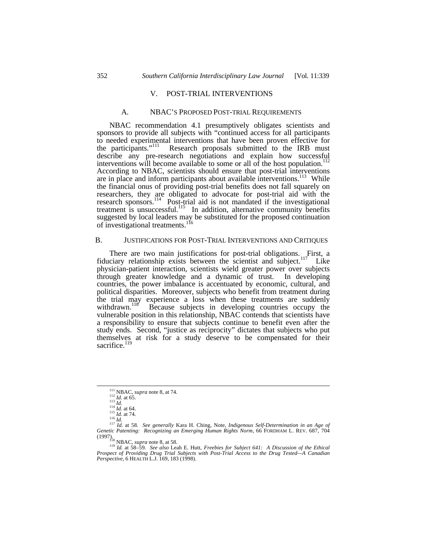#### V. POST-TRIAL INTERVENTIONS

#### A. NBAC'S PROPOSED POST-TRIAL REQUIREMENTS

NBAC recommendation 4.1 presumptively obligates scientists and sponsors to provide all subjects with "continued access for all participants to needed experimental interventions that have been proven effective for the participants."<sup>111</sup> Research proposals submitted to the IRB must Research proposals submitted to the IRB must describe any pre-research negotiations and explain how successful interventions will become available to some or all of the host population.<sup>112</sup> According to NBAC, scientists should ensure that post-trial interventions are in place and inform participants about available interventions.<sup>113</sup> While the financial onus of providing post-trial benefits does not fall squarely on researchers, they are obligated to advocate for post-trial aid with the research sponsors.<sup>114</sup> Post-trial aid is not mandated if the investigational treatment is unsuccessful.<sup>115</sup> In addition, alternative community benefits suggested by local leaders may be substituted for the proposed continuation of investigational treatments.<sup>116</sup>

#### B. JUSTIFICATIONS FOR POST-TRIAL INTERVENTIONS AND CRITIQUES

There are two main justifications for post-trial obligations. First, a fiduciary relationship exists between the scientist and subject.<sup>117</sup> Like physician-patient interaction, scientists wield greater power over subjects through greater knowledge and a dynamic of trust. countries, the power imbalance is accentuated by economic, cultural, and political disparities. Moreover, subjects who benefit from treatment during the trial may experience a loss when these treatments are suddenly withdrawn.<sup>118</sup> Because subjects in developing countries occupy the vulnerable position in this relationship, NBAC contends that scientists have a responsibility to ensure that subjects continue to benefit even after the study ends. Second, "justice as reciprocity" dictates that subjects who put themselves at risk for a study deserve to be compensated for their sacrifice.<sup>119</sup>

 $\overline{a}$ 

<sup>119</sup> *Id.* at 58–59*. See also* Leah E. Hutt, *Freebies for Subject 641: A Discussion of the Ethical Prospect of Providing Drug Trial Subjects with Post-Trial Access to the Drug Tested—A Canadian Perspective*, 6 HEALTH L.J. 169, 183 (1998).

<sup>111</sup> NBAC, *supra* note 8, at 74. <sup>112</sup> *Id.* at 65.

<sup>113</sup> *Id.* <sup>114</sup> *Id.* at 64. <sup>115</sup> *Id.* at 74.

<sup>116</sup> *Id.* <sup>117</sup> *Id.* at 58. *See generally* Kara H. Ching, Note, *Indigenous Self-Determination in an Age of Genetic Patenting: Recognizing an Emerging Human Rights Norm*, 66 FORDHAM L. REV. 687, 704 (1997). <sup>118</sup> NBAC, *supra* note 8, at 58.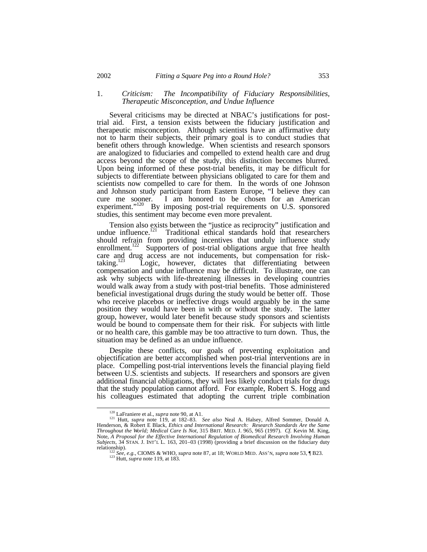#### 1. *Criticism: The Incompatibility of Fiduciary Responsibilities, Therapeutic Misconception, and Undue Influence*

Several criticisms may be directed at NBAC's justifications for posttrial aid. First, a tension exists between the fiduciary justification and therapeutic misconception. Although scientists have an affirmative duty not to harm their subjects, their primary goal is to conduct studies that benefit others through knowledge. When scientists and research sponsors are analogized to fiduciaries and compelled to extend health care and drug access beyond the scope of the study, this distinction becomes blurred. Upon being informed of these post-trial benefits, it may be difficult for subjects to differentiate between physicians obligated to care for them and scientists now compelled to care for them. In the words of one Johnson and Johnson study participant from Eastern Europe, "I believe they can cure me sooner. I am honored to be chosen for an American experiment."<sup>120</sup> By imposing post-trial requirements on U.S. sponsored studies, this sentiment may become even more prevalent.

Tension also exists between the "justice as reciprocity" justification and undue influence.<sup>121</sup> Traditional ethical standards hold that researchers should refrain from providing incentives that unduly influence study enrollment.<sup>122</sup> Supporters of post-trial obligations argue that free health care and drug access are not inducements, but compensation for risk-<br>taking.<sup>[23</sup>] Logic, however, dictates that differentiating between Logic, however, dictates that differentiating between compensation and undue influence may be difficult. To illustrate, one can ask why subjects with life-threatening illnesses in developing countries would walk away from a study with post-trial benefits. Those administered beneficial investigational drugs during the study would be better off. Those who receive placebos or ineffective drugs would arguably be in the same position they would have been in with or without the study. The latter group, however, would later benefit because study sponsors and scientists would be bound to compensate them for their risk. For subjects with little or no health care, this gamble may be too attractive to turn down. Thus, the situation may be defined as an undue influence.

Despite these conflicts, our goals of preventing exploitation and objectification are better accomplished when post-trial interventions are in place. Compelling post-trial interventions levels the financial playing field between U.S. scientists and subjects. If researchers and sponsors are given additional financial obligations, they will less likely conduct trials for drugs that the study population cannot afford. For example, Robert S. Hogg and his colleagues estimated that adopting the current triple combination

<sup>120</sup> LaFraniere et al., *supra* note 90, at A1.

<sup>&</sup>lt;sup>121</sup> Hutt, *supra* note 119, at 182–83. *See also* Neal A. Halsey, Alfred Sommer, Donald A. Henderson, & Robert E Black, *Ethics and International Research: Research Standards Are the Same Throughout the World; Medical Care Is Not*, 315 BRIT. MED. J. 965, 965 (1997). *Cf.* Kevin M. King, Note, *A Proposal for the Effective International Regulation of Biomedical Research Involving Human Subjects*, 34 STAN. J. INT'L L. 163, 201–03 (1998) (providing a brief discussion on the fiduciary duty relationship).

<sup>122</sup> *See, e.g.*, CIOMS & WHO, *supra* note 87, at 18; WORLD MED. ASS'N, *supra* note 53, ¶ B23.

<sup>123</sup> Hutt, *supra* note 119, at 183.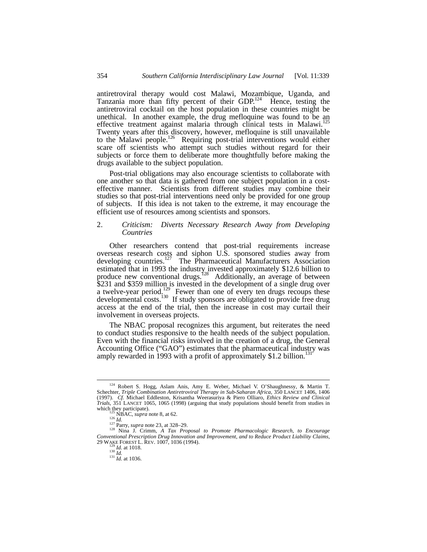antiretroviral therapy would cost Malawi, Mozambique, Uganda, and Tanzania more than fifty percent of their GDP.<sup>124</sup> Hence, testing the antiretroviral cocktail on the host population in these countries might be unethical. In another example, the drug mefloquine was found to be an effective treatment against malaria through clinical tests in Malawi.<sup>125</sup> Twenty years after this discovery, however, mefloquine is still unavailable twenty years and this discovery, as a context, increased interventions would either scare off scientists who attempt such studies without regard for their subjects or force them to deliberate more thoughtfully before making the drugs available to the subject population.

Post-trial obligations may also encourage scientists to collaborate with one another so that data is gathered from one subject population in a costeffective manner. Scientists from different studies may combine their studies so that post-trial interventions need only be provided for one group of subjects. If this idea is not taken to the extreme, it may encourage the efficient use of resources among scientists and sponsors.

#### 2. *Criticism: Diverts Necessary Research Away from Developing Countries*

Other researchers contend that post-trial requirements increase overseas research costs and siphon U.S. sponsored studies away from developing countries.<sup>127</sup> The Pharmaceutical Manufacturers Association estimated that in 1993 the industry invested approximately \$12.6 billion to produce new conventional drugs.<sup>128</sup> Additionally, an average of between \$231 and \$359 million is invested in the development of a single drug over a twelve-year period.<sup>129</sup> Fewer than one of every ten drugs recoups these developmental costs.<sup>130</sup> If study sponsors are obligated to provide free drug access at the end of the trial, then the increase in cost may curtail their involvement in overseas projects.

The NBAC proposal recognizes this argument, but reiterates the need to conduct studies responsive to the health needs of the subject population. Even with the financial risks involved in the creation of a drug, the General Accounting Office ("GAO") estimates that the pharmaceutical industry was amply rewarded in 1993 with a profit of approximately \$1.2 billion.<sup>131</sup>

<sup>124</sup> Robert S. Hogg, Aslam Anis, Amy E. Weber, Michael V. O'Shaughnessy, & Martin T. Schechter, *Triple Combination Antiretroviral Therapy in Sub-Saharan Africa*, 350 LANCET 1406, 1406 (1997). *Cf.* Michael Eddleston, Krisantha Weerasuriya & Piero Olliaro, *Ethics Review and Clinical Trials*, 351 LANCET 1065, 1065 (1998) (arguing that study populations should benefit from studies in which they participate).<br><sup>125</sup> NBAC, *supra* note 8, at 62.

<sup>126</sup> *Id.* <sup>127</sup> Parry, *supra* note 23, at 328–29. <sup>128</sup> Nina J. Crimm, *A Tax Proposal to Promote Pharmacologic Research, to Encourage Conventional Prescription Drug Innovation and Improvement, and to Reduce Product Liability Claims*, 29 WAKE FOREST L. REV. 1007, 1036 (1994). <sup>129</sup> *Id.* at 1018.

<sup>130</sup> *Id.* <sup>131</sup> *Id.* at 1036.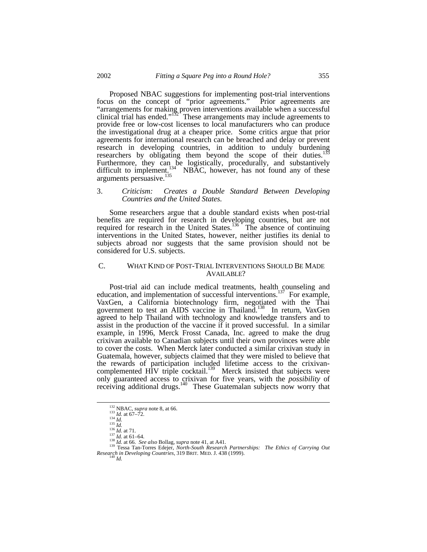Proposed NBAC suggestions for implementing post-trial interventions focus on the concept of "prior agreements." Prior agreements are "arrangements for making proven interventions available when a successful clinical trial has ended." $152^T$  These arrangements may include agreements to provide free or low-cost licenses to local manufacturers who can produce the investigational drug at a cheaper price. Some critics argue that prior agreements for international research can be breached and delay or prevent research in developing countries, in addition to unduly burdening researchers by obligating them beyond the scope of their duties.<sup>1</sup> Furthermore, they can be logistically, procedurally, and substantively difficult to implement.<sup>134</sup> NBAC, however, has not found any of these arguments persuasive.<sup>135</sup>

#### 3. *Criticism: Creates a Double Standard Between Developing Countries and the United States.*

Some researchers argue that a double standard exists when post-trial benefits are required for research in developing countries, but are not required for research in the United States.<sup>136</sup> The absence of continuing interventions in the United States, however, neither justifies its denial to subjects abroad nor suggests that the same provision should not be considered for U.S. subjects.

#### C. WHAT KIND OF POST-TRIAL INTERVENTIONS SHOULD BE MADE AVAILABLE?

Post-trial aid can include medical treatments, health counseling and education, and implementation of successful interventions.<sup>137</sup> For example, VaxGen, a California biotechnology firm, negotiated with the Thai government to test an AIDS vaccine in Thailand.<sup>138</sup> In return, VaxGen agreed to help Thailand with technology and knowledge transfers and to assist in the production of the vaccine if it proved successful. In a similar example, in 1996, Merck Frosst Canada, Inc. agreed to make the drug crixivan available to Canadian subjects until their own provinces were able to cover the costs. When Merck later conducted a similar crixivan study in Guatemala, however, subjects claimed that they were misled to believe that the rewards of participation included lifetime access to the crixivancomplemented HIV triple cocktail.<sup>139</sup> Merck insisted that subjects were only guaranteed access to crixivan for five years, with the *possibility* of receiving additional drugs.<sup>140</sup> These Guatemalan subjects now worry that

<sup>132</sup> NBAC, *supra* note 8, at 66.

<sup>133</sup> *Id.* at 67–72*.*

<sup>134</sup> *Id.* <sup>135</sup> *Id.* <sup>136</sup> *Id.* at 71.

<sup>137</sup> *Id.* at 61–64*.* <sup>138</sup> *Id.* at 66. *See also* Bollag, *supra* note 41, at A41.

<sup>139</sup> Tessa Tan-Torres Edejer, *North-South Research Partnerships: The Ethics of Carrying Out Research in Developing Countries*, 319 BRIT. MED. J. 438 (1999).  $Id$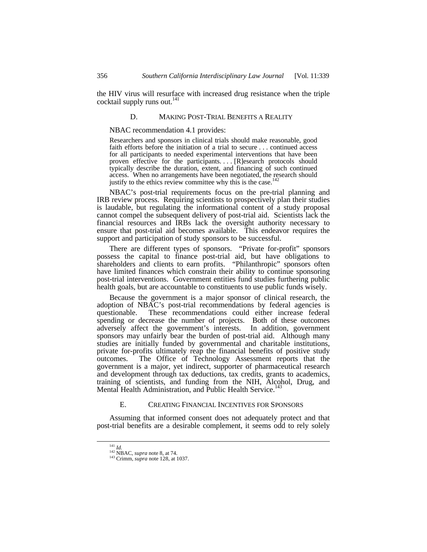the HIV virus will resurface with increased drug resistance when the triple cocktail supply runs out. $^{141}$ 

#### D. MAKING POST-TRIAL BENEFITS A REALITY

NBAC recommendation 4.1 provides:

Researchers and sponsors in clinical trials should make reasonable, good faith efforts before the initiation of a trial to secure . . . continued access for all participants to needed experimental interventions that have been proven effective for the participants.... [R]esearch protocols should typically describe the duration, extent, and financing of such continued access. When no arrangements have been negotiated, the research should justify to the ethics review committee why this is the case.<sup>142</sup>

NBAC's post-trial requirements focus on the pre-trial planning and IRB review process. Requiring scientists to prospectively plan their studies is laudable, but regulating the informational content of a study proposal cannot compel the subsequent delivery of post-trial aid. Scientists lack the financial resources and IRBs lack the oversight authority necessary to ensure that post-trial aid becomes available. This endeavor requires the support and participation of study sponsors to be successful.

There are different types of sponsors. "Private for-profit" sponsors possess the capital to finance post-trial aid, but have obligations to shareholders and clients to earn profits. "Philanthropic" sponsors often have limited finances which constrain their ability to continue sponsoring post-trial interventions. Government entities fund studies furthering public health goals, but are accountable to constituents to use public funds wisely.

Because the government is a major sponsor of clinical research, the adoption of NBAC's post-trial recommendations by federal agencies is questionable. These recommendations could either increase federal spending or decrease the number of projects. Both of these outcomes adversely affect the government's interests. In addition, government sponsors may unfairly bear the burden of post-trial aid. Although many studies are initially funded by governmental and charitable institutions, private for-profits ultimately reap the financial benefits of positive study outcomes. The Office of Technology Assessment reports that the government is a major, yet indirect, supporter of pharmaceutical research and development through tax deductions, tax credits, grants to academics, training of scientists, and funding from the NIH, Alcohol, Drug, and Mental Health Administration, and Public Health Service.<sup>143</sup>

#### E. CREATING FINANCIAL INCENTIVES FOR SPONSORS

Assuming that informed consent does not adequately protect and that post-trial benefits are a desirable complement, it seems odd to rely solely

<sup>141</sup> *Id.*

<sup>142</sup> NBAC, *supra* note 8, at 74. <sup>143</sup> Crimm, *supra* note 128, at 1037.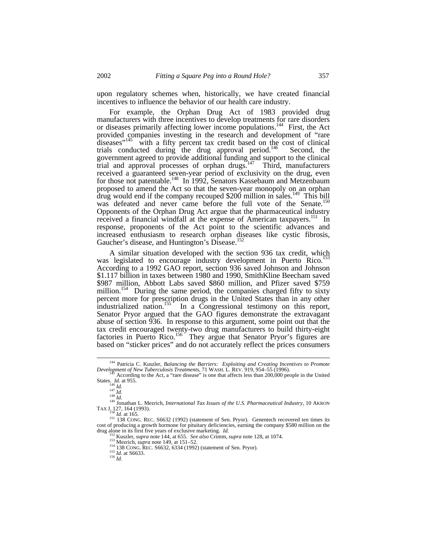upon regulatory schemes when, historically, we have created financial incentives to influence the behavior of our health care industry.

For example, the Orphan Drug Act of 1983 provided drug manufacturers with three incentives to develop treatments for rare disorders or diseases primarily affecting lower income populations.<sup>144</sup> First, the Act provided companies investing in the research and development of "rare diseases<sup> $n<sup>145</sup>$  with a fifty percent tax credit based on the cost of clinical</sup> trials conducted during the drug approval period.<sup>146</sup> Second, the government agreed to provide additional funding and support to the clinical trial and approval processes of orphan drugs.<sup>147</sup> Third, manufacturers received a guaranteed seven-year period of exclusivity on the drug, even for those not patentable.<sup>148</sup> In 1992, Senators Kassebaum and Metzenbaum proposed to amend the Act so that the seven-year monopoly on an orphan  $\frac{1}{2}$  drug would end if the company recouped \$200 million in sales.<sup>149</sup> This bill was defeated and never came before the full vote of the Senate.<sup>150</sup> Opponents of the Orphan Drug Act argue that the pharmaceutical industry received a financial windfall at the expense of American taxpayers.<sup>151</sup> In response, proponents of the Act point to the scientific advances and increased enthusiasm to research orphan diseases like cystic fibrosis, Gaucher's disease, and Huntington's Disease.<sup>152</sup>

A similar situation developed with the section 936 tax credit, which was legislated to encourage industry development in Puerto Rico. According to a 1992 GAO report, section 936 saved Johnson and Johnson \$1.117 billion in taxes between 1980 and 1990, SmithKline Beecham saved \$987 million, Abbott Labs saved \$860 million, and Pfizer saved \$759 million.<sup>154</sup> During the same period, the companies charged fifty to sixty percent more for prescription drugs in the United States than in any other industrialized nation.<sup>155</sup> In a Congressional testimony on this report, Senator Pryor argued that the GAO figures demonstrate the extravagant abuse of section 936. In response to this argument, some point out that the tax credit encouraged twenty-two drug manufacturers to build thirty-eight factories in Puerto Rico.<sup>156</sup> They argue that Senator Pryor's figures are based on "sticker prices" and do not accurately reflect the prices consumers

<sup>144</sup> Patricia C. Kuszler, *Balancing the Barriers: Exploiting and Creating Incentives to Promote Development of New Tuberculosis Treatments*, 71 WASH. L. REV. 919, 954–55 (1996). <sup>145</sup> According to the Act, a "rare disease" is one that affects less than 200,000 people in the United

States. *Id.* at 955.<br>
<sup>146</sup> *Id.*<br>
<sup>147</sup> *Id.*<br>
<sup>148</sup> *Id.* 

<sup>149</sup> Jonathan L. Mezrich, *International Tax Issues of the U.S. Pharmaceutical Industry*, 10 AKRON

TAX J. 127, 164 (1993). <sup>150</sup> *Id.* at 165.

 $\frac{151}{138}$  CONG. REC. S6632 (1992) (statement of Sen. Pryor). Genentech recovered ten times its cost of producing a growth hormone for pituitary deficiencies, earning the company \$580 million on the drug alone in its first five years of exclusive marketing. *Id.*

<sup>152</sup> Kuszler, *supra* note 144, at 655. *See also* Crimm, *supra* note 128, at 1074. <sup>153</sup> Mezrich, *supra* note 149, at 151–52.

<sup>154</sup> 138 CONG. REC. S6632, 6334 (1992) (statement of Sen. Pryor).

<sup>155</sup> *Id.* at S6633. <sup>156</sup> *Id.*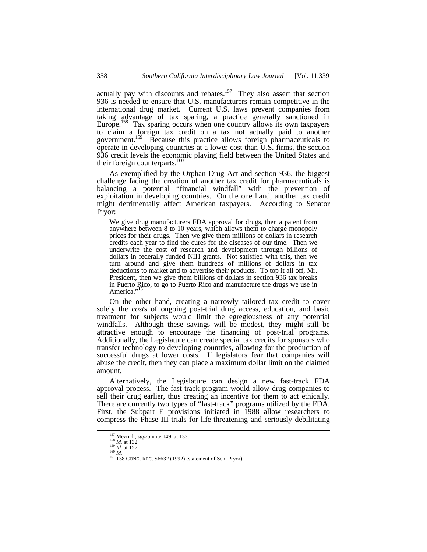actually pay with discounts and rebates.<sup>157</sup> They also assert that section 936 is needed to ensure that U.S. manufacturers remain competitive in the international drug market. Current U.S. laws prevent companies from taking advantage of tax sparing, a practice generally sanctioned in Europe.<sup>158</sup> Tax sparing occurs when one country allows its own taxpayers to claim a foreign tax credit on a tax not actually paid to another government.<sup>159</sup> Because this practice allows foreign pharmaceuticals to operate in developing countries at a lower cost than U.S. firms, the section 936 credit levels the economic playing field between the United States and their foreign counterparts.<sup>160</sup>

As exemplified by the Orphan Drug Act and section 936, the biggest challenge facing the creation of another tax credit for pharmaceuticals is balancing a potential "financial windfall" with the prevention of exploitation in developing countries. On the one hand, another tax credit might detrimentally affect American taxpayers. According to Senator Pryor:

We give drug manufacturers FDA approval for drugs, then a patent from anywhere between 8 to 10 years, which allows them to charge monopoly prices for their drugs. Then we give them millions of dollars in research credits each year to find the cures for the diseases of our time. Then we underwrite the cost of research and development through billions of dollars in federally funded NIH grants. Not satisfied with this, then we turn around and give them hundreds of millions of dollars in tax deductions to market and to advertise their products. To top it all off, Mr. President, then we give them billions of dollars in section 936 tax breaks in Puerto Rico, to go to Puerto Rico and manufacture the drugs we use in America."<sup>161</sup>

On the other hand, creating a narrowly tailored tax credit to cover solely the *costs* of ongoing post-trial drug access, education, and basic treatment for subjects would limit the egregiousness of any potential windfalls. Although these savings will be modest, they might still be attractive enough to encourage the financing of post-trial programs. Additionally, the Legislature can create special tax credits for sponsors who transfer technology to developing countries, allowing for the production of successful drugs at lower costs. If legislators fear that companies will abuse the credit, then they can place a maximum dollar limit on the claimed amount.

Alternatively, the Legislature can design a new fast-track FDA approval process. The fast-track program would allow drug companies to sell their drug earlier, thus creating an incentive for them to act ethically. There are currently two types of "fast-track" programs utilized by the FDA. First, the Subpart E provisions initiated in 1988 allow researchers to compress the Phase III trials for life-threatening and seriously debilitating

<sup>&</sup>lt;sup>157</sup> Mezrich, *supra* note 149, at 133.<br><sup>158</sup> *Id.* at 132.<br><sup>159</sup> *Id.* at 157.

<sup>&</sup>lt;sup>160</sup> *Id.*<br><sup>161</sup> 138 CONG. REC. S6632 (1992) (statement of Sen. Pryor).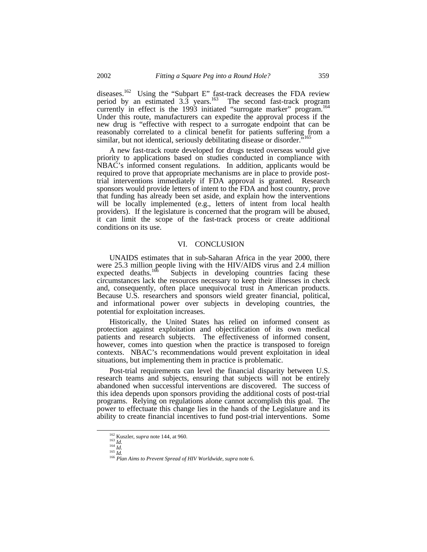diseases.<sup>162</sup> Using the "Subpart E" fast-track decreases the FDA review period by an estimated  $3.3$  years.<sup>163</sup> The second fast-track program currently in effect is the 1993 initiated "surrogate marker" program.<sup>164</sup> Under this route, manufacturers can expedite the approval process if the new drug is "effective with respect to a surrogate endpoint that can be reasonably correlated to a clinical benefit for patients suffering from a similar, but not identical, seriously debilitating disease or disorder.<sup>7</sup>

A new fast-track route developed for drugs tested overseas would give priority to applications based on studies conducted in compliance with NBAC's informed consent regulations. In addition, applicants would be required to prove that appropriate mechanisms are in place to provide posttrial interventions immediately if FDA approval is granted. Research sponsors would provide letters of intent to the FDA and host country, prove that funding has already been set aside, and explain how the interventions will be locally implemented (e.g., letters of intent from local health providers). If the legislature is concerned that the program will be abused, it can limit the scope of the fast-track process or create additional conditions on its use.

#### VI. CONCLUSION

UNAIDS estimates that in sub-Saharan Africa in the year 2000, there were 25.3 million people living with the HIV/AIDS virus and 2.4 million expected deaths.<sup>166</sup> Subjects in developing countries facing these Subjects in developing countries facing these circumstances lack the resources necessary to keep their illnesses in check and, consequently, often place unequivocal trust in American products. Because U.S. researchers and sponsors wield greater financial, political, and informational power over subjects in developing countries, the potential for exploitation increases.

Historically, the United States has relied on informed consent as protection against exploitation and objectification of its own medical patients and research subjects. The effectiveness of informed consent, however, comes into question when the practice is transposed to foreign contexts. NBAC's recommendations would prevent exploitation in ideal situations, but implementing them in practice is problematic.

Post-trial requirements can level the financial disparity between U.S. research teams and subjects, ensuring that subjects will not be entirely abandoned when successful interventions are discovered. The success of this idea depends upon sponsors providing the additional costs of post-trial programs. Relying on regulations alone cannot accomplish this goal. The power to effectuate this change lies in the hands of the Legislature and its ability to create financial incentives to fund post-trial interventions. Some

<sup>162</sup> Kuszler, *supra* note 144, at 960. <sup>163</sup> *Id.*

 $\frac{16}{164}$  *Id.* 

<sup>165</sup> *Id.*

<sup>166</sup> *Plan Aims to Prevent Spread of HIV Worldwide*, *supra* note 6.